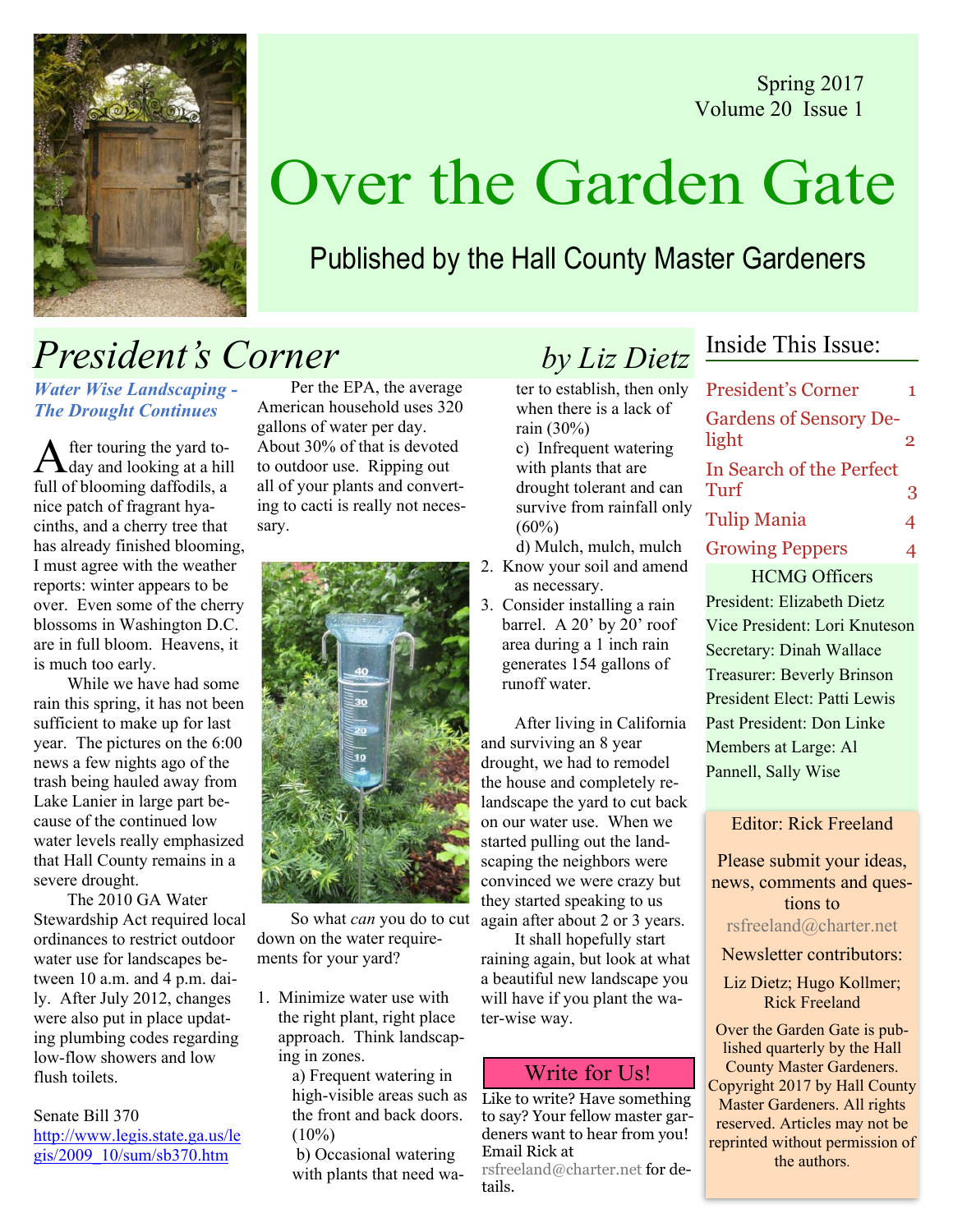Spring 2017 Volume 20 Issue 1



# Over the Garden Gate

## Published by the Hall County Master Gardeners

## **President's Corner** by Liz Dietz

Water Wise Landscaping - The Drought Continues

After touring the yard to-<br>day and looking at a hill full of blooming daffodils, a nice patch of fragrant hyacinths, and a cherry tree that has already finished blooming, I must agree with the weather reports: winter appears to be over. Even some of the cherry blossoms in Washington D.C. are in full bloom. Heavens, it is much too early.

While we have had some rain this spring, it has not been sufficient to make up for last year. The pictures on the 6:00 news a few nights ago of the trash being hauled away from Lake Lanier in large part because of the continued low water levels really emphasized that Hall County remains in a severe drought.

 The 2010 GA Water Stewardship Act required local ordinances to restrict outdoor water use for landscapes between 10 a.m. and 4 p.m. daily. After July 2012, changes were also put in place updating plumbing codes regarding low-flow showers and low flush toilets.

Senate Bill 370 http://www.legis.state.ga.us/le gis/2009\_10/sum/sb370.htm

 Per the EPA, the average American household uses 320 gallons of water per day. About 30% of that is devoted to outdoor use. Ripping out all of your plants and converting to cacti is really not necessary.



 So what can you do to cut down on the water requirements for your yard?

1. Minimize water use with the right plant, right place approach. Think landscaping in zones.

> a) Frequent watering in high-visible areas such as the front and back doors.  $(10\%)$

 b) Occasional watering with plants that need wa-

ter to establish, then only when there is a lack of rain (30%) c) Infrequent watering with plants that are drought tolerant and can survive from rainfall only  $(60\%)$ d) Mulch, mulch, mulch

2. Know your soil and amend

- as necessary.
- 3. Consider installing a rain barrel. A 20' by 20' roof area during a 1 inch rain generates 154 gallons of runoff water.

 After living in California and surviving an 8 year drought, we had to remodel the house and completely relandscape the yard to cut back on our water use. When we started pulling out the landscaping the neighbors were convinced we were crazy but they started speaking to us again after about 2 or 3 years.

 It shall hopefully start raining again, but look at what a beautiful new landscape you will have if you plant the water-wise way.

### Write for Us!

Like to write? Have something to say? Your fellow master gardeners want to hear from you! Email Rick at

rsfreeland@charter.net for details.

### Inside This Issue:

| <b>President's Corner</b>              | 1              |
|----------------------------------------|----------------|
| <b>Gardens of Sensory De-</b><br>light | $\overline{2}$ |
| In Search of the Perfect<br>Turf       | 3              |
| <b>Tulip Mania</b>                     | 4              |
| <b>Growing Peppers</b>                 | 4              |
| <b>HCMG Officers</b>                   |                |
| President: Elizabeth Dietz             |                |
| Vice President: Lori Knuteson          |                |
| Secretary: Dinah Wallace               |                |
| <b>Treasurer: Beverly Brinson</b>      |                |
| President Elect: Patti Lewis           |                |
| Past President: Don Linke              |                |
| Members at Large: Al                   |                |
| Pannell, Sally Wise                    |                |

Editor: Rick Freeland

Please submit your ideas, news, comments and questions to rsfreeland@charter.net

Newsletter contributors:

Liz Dietz; Hugo Kollmer; Rick Freeland

Over the Garden Gate is published quarterly by the Hall County Master Gardeners. Copyright 2017 by Hall County Master Gardeners. All rights reserved. Articles may not be reprinted without permission of the authors.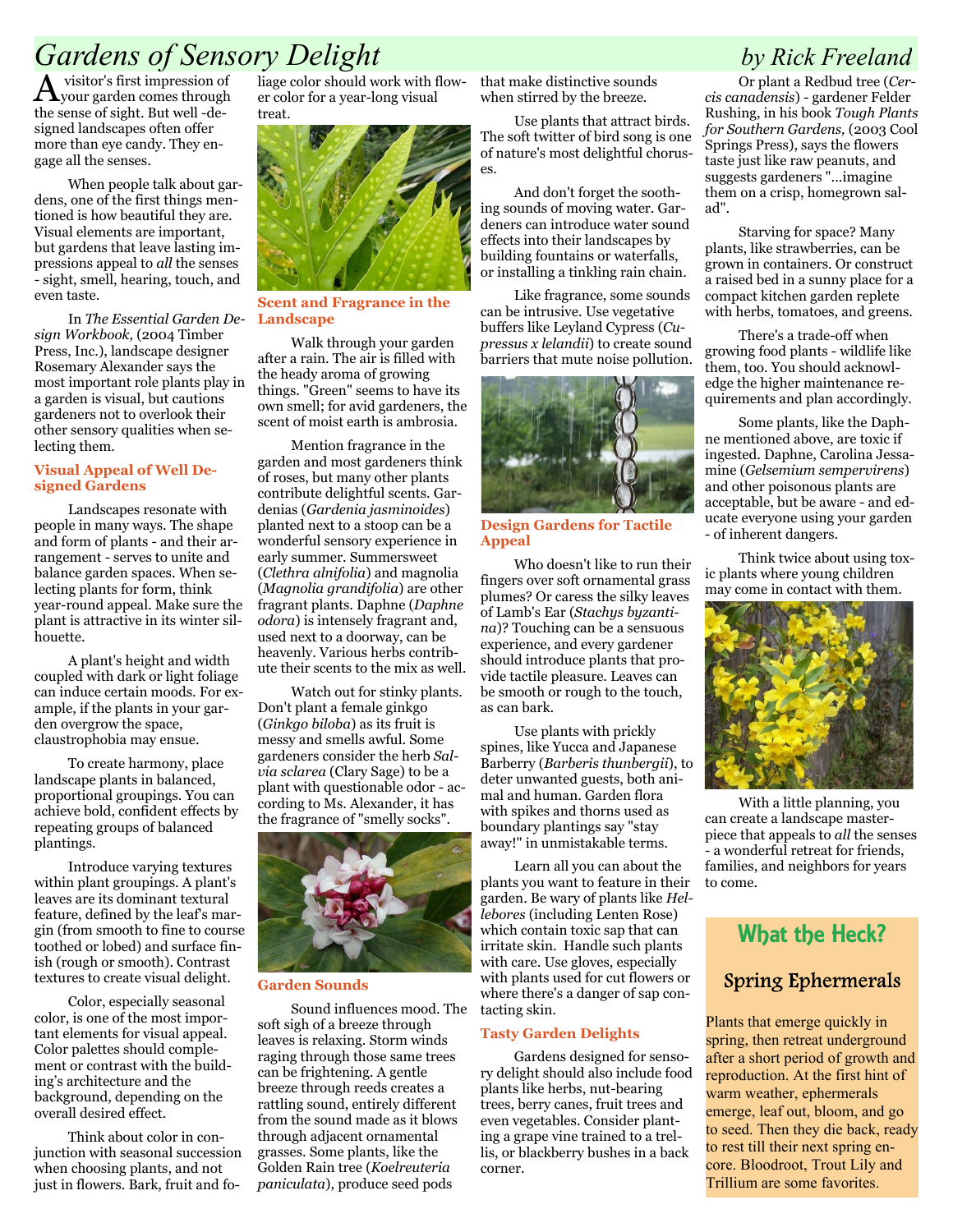### Gardens of Sensory Delight by Rick Freeland

A visitor's first impression of your garden comes through the sense of sight. But well -designed landscapes often offer more than eye candy. They engage all the senses.

 When people talk about gardens, one of the first things mentioned is how beautiful they are. Visual elements are important, but gardens that leave lasting impressions appeal to all the senses - sight, smell, hearing, touch, and even taste.

In The Essential Garden De- Landscape sign Workbook, (2004 Timber Press, Inc.), landscape designer Rosemary Alexander says the most important role plants play in a garden is visual, but cautions gardeners not to overlook their other sensory qualities when selecting them.

### Visual Appeal of Well Designed Gardens

Landscapes resonate with people in many ways. The shape and form of plants - and their arrangement - serves to unite and balance garden spaces. When selecting plants for form, think year-round appeal. Make sure the plant is attractive in its winter silhouette.

A plant's height and width coupled with dark or light foliage can induce certain moods. For example, if the plants in your garden overgrow the space, claustrophobia may ensue.

To create harmony, place landscape plants in balanced, proportional groupings. You can achieve bold, confident effects by repeating groups of balanced plantings.

Introduce varying textures within plant groupings. A plant's leaves are its dominant textural feature, defined by the leaf's margin (from smooth to fine to course toothed or lobed) and surface finish (rough or smooth). Contrast textures to create visual delight.

Color, especially seasonal color, is one of the most important elements for visual appeal. Color palettes should complement or contrast with the building's architecture and the background, depending on the overall desired effect.

Think about color in conjunction with seasonal succession when choosing plants, and not just in flowers. Bark, fruit and foliage color should work with flower color for a year-long visual treat.



Scent and Fragrance in the

Walk through your garden after a rain. The air is filled with the heady aroma of growing things. "Green" seems to have its own smell; for avid gardeners, the scent of moist earth is ambrosia.

Mention fragrance in the garden and most gardeners think of roses, but many other plants contribute delightful scents. Gardenias (Gardenia jasminoides) planted next to a stoop can be a wonderful sensory experience in early summer. Summersweet (Clethra alnifolia) and magnolia (Magnolia grandifolia) are other fragrant plants. Daphne (Daphne odora) is intensely fragrant and, used next to a doorway, can be heavenly. Various herbs contribute their scents to the mix as well.

Watch out for stinky plants. Don't plant a female ginkgo (Ginkgo biloba) as its fruit is messy and smells awful. Some gardeners consider the herb Salvia sclarea (Clary Sage) to be a plant with questionable odor - according to Ms. Alexander, it has the fragrance of "smelly socks".



### Garden Sounds

Sound influences mood. The soft sigh of a breeze through leaves is relaxing. Storm winds raging through those same trees can be frightening. A gentle breeze through reeds creates a rattling sound, entirely different from the sound made as it blows through adjacent ornamental grasses. Some plants, like the Golden Rain tree (Koelreuteria paniculata), produce seed pods

that make distinctive sounds when stirred by the breeze.

Use plants that attract birds. The soft twitter of bird song is one of nature's most delightful choruses.

And don't forget the soothing sounds of moving water. Gardeners can introduce water sound effects into their landscapes by building fountains or waterfalls, or installing a tinkling rain chain.

Like fragrance, some sounds can be intrusive. Use vegetative buffers like Leyland Cypress (Cupressus x lelandii) to create sound barriers that mute noise pollution.



Design Gardens for Tactile Appeal

Who doesn't like to run their fingers over soft ornamental grass plumes? Or caress the silky leaves of Lamb's Ear (Stachys byzantina)? Touching can be a sensuous experience, and every gardener should introduce plants that provide tactile pleasure. Leaves can be smooth or rough to the touch, as can bark.

Use plants with prickly spines, like Yucca and Japanese Barberry (Barberis thunbergii), to deter unwanted guests, both animal and human. Garden flora with spikes and thorns used as boundary plantings say "stay away!" in unmistakable terms.

Learn all you can about the plants you want to feature in their garden. Be wary of plants like Hellebores (including Lenten Rose) which contain toxic sap that can irritate skin. Handle such plants with care. Use gloves, especially with plants used for cut flowers or where there's a danger of sap contacting skin.

### Tasty Garden Delights

Gardens designed for sensory delight should also include food plants like herbs, nut-bearing trees, berry canes, fruit trees and even vegetables. Consider planting a grape vine trained to a trellis, or blackberry bushes in a back corner.

Or plant a Redbud tree (Cercis canadensis) - gardener Felder Rushing, in his book Tough Plants for Southern Gardens, (2003 Cool Springs Press), says the flowers taste just like raw peanuts, and suggests gardeners "...imagine them on a crisp, homegrown salad".

Starving for space? Many plants, like strawberries, can be grown in containers. Or construct a raised bed in a sunny place for a compact kitchen garden replete with herbs, tomatoes, and greens.

There's a trade-off when growing food plants - wildlife like them, too. You should acknowledge the higher maintenance requirements and plan accordingly.

Some plants, like the Daphne mentioned above, are toxic if ingested. Daphne, Carolina Jessamine (Gelsemium sempervirens) and other poisonous plants are acceptable, but be aware - and educate everyone using your garden - of inherent dangers.

Think twice about using toxic plants where young children may come in contact with them.



With a little planning, you can create a landscape masterpiece that appeals to all the senses - a wonderful retreat for friends, families, and neighbors for years to come.

### What the Heck?

### Spring Ephermerals

Plants that emerge quickly in spring, then retreat underground after a short period of growth and reproduction. At the first hint of warm weather, ephermerals emerge, leaf out, bloom, and go to seed. Then they die back, ready to rest till their next spring encore. Bloodroot, Trout Lily and Trillium are some favorites.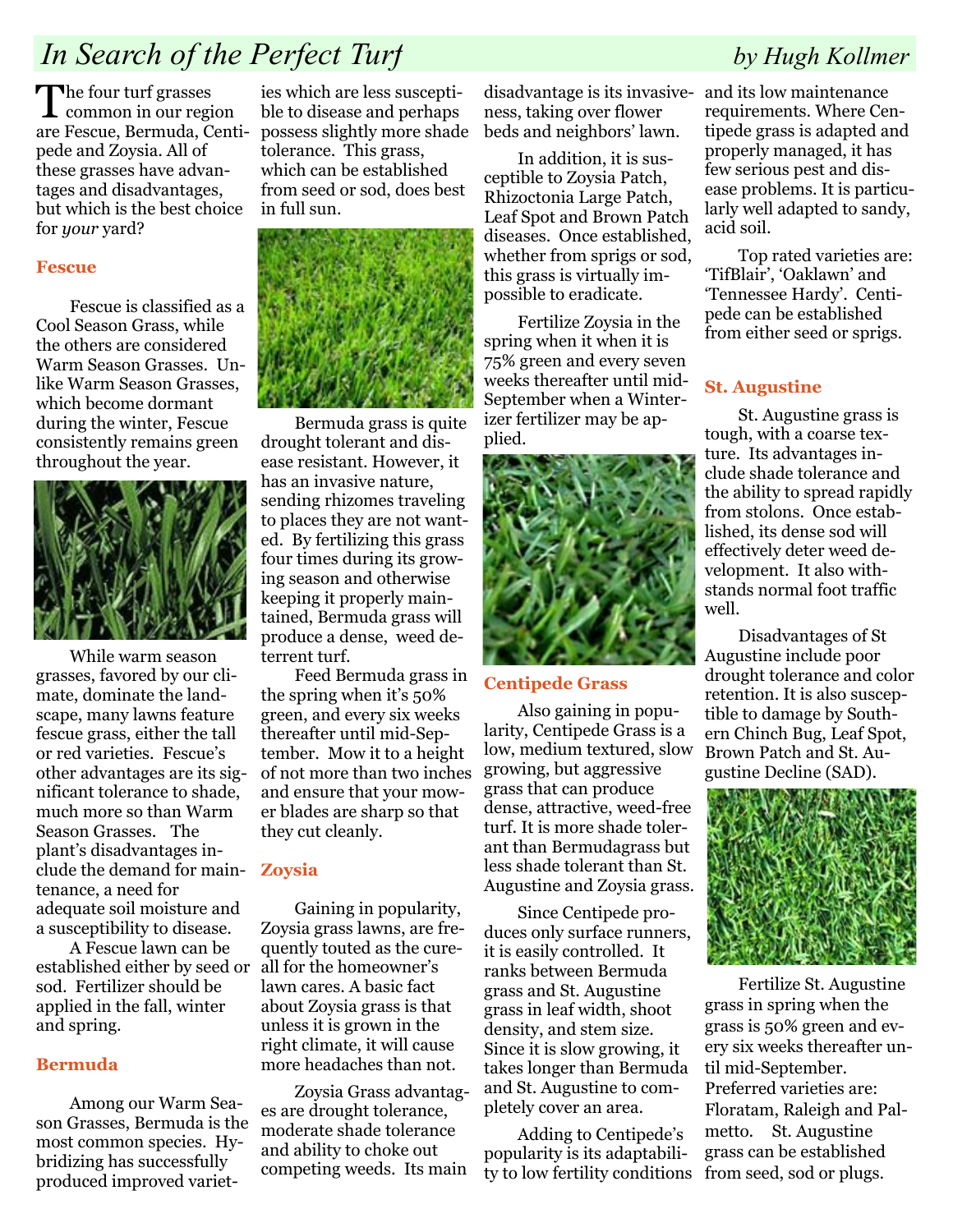## In Search of the Perfect Turf by Hugh Kollmer

The four turf grasses common in our region are Fescue, Bermuda, Centipede and Zoysia. All of these grasses have advantages and disadvantages, but which is the best choice for your yard?

### Fescue

Fescue is classified as a Cool Season Grass, while the others are considered Warm Season Grasses. Unlike Warm Season Grasses, which become dormant during the winter, Fescue consistently remains green throughout the year.



While warm season grasses, favored by our climate, dominate the landscape, many lawns feature fescue grass, either the tall or red varieties. Fescue's other advantages are its significant tolerance to shade, much more so than Warm Season Grasses. The plant's disadvantages include the demand for maintenance, a need for adequate soil moisture and a susceptibility to disease.

A Fescue lawn can be established either by seed or sod. Fertilizer should be applied in the fall, winter and spring.

### Bermuda

Among our Warm Season Grasses, Bermuda is the most common species. Hybridizing has successfully produced improved variet-

ies which are less susceptible to disease and perhaps possess slightly more shade tolerance. This grass, which can be established from seed or sod, does best in full sun.



Bermuda grass is quite drought tolerant and disease resistant. However, it has an invasive nature, sending rhizomes traveling to places they are not wanted. By fertilizing this grass four times during its growing season and otherwise keeping it properly maintained, Bermuda grass will produce a dense, weed deterrent turf.

Feed Bermuda grass in the spring when it's 50% green, and every six weeks thereafter until mid-September. Mow it to a height of not more than two inches and ensure that your mower blades are sharp so that they cut cleanly.

### Zoysia

Gaining in popularity, Zoysia grass lawns, are frequently touted as the cureall for the homeowner's lawn cares. A basic fact about Zoysia grass is that unless it is grown in the right climate, it will cause more headaches than not.

Zoysia Grass advantages are drought tolerance, moderate shade tolerance and ability to choke out competing weeds. Its main

disadvantage is its invasive-and its low maintenance ness, taking over flower beds and neighbors' lawn.

In addition, it is susceptible to Zoysia Patch, Rhizoctonia Large Patch, Leaf Spot and Brown Patch diseases. Once established, whether from sprigs or sod, this grass is virtually impossible to eradicate.

Fertilize Zoysia in the spring when it when it is 75% green and every seven weeks thereafter until mid-September when a Winterizer fertilizer may be applied.



### Centipede Grass

Also gaining in popularity, Centipede Grass is a low, medium textured, slow growing, but aggressive grass that can produce dense, attractive, weed-free turf. It is more shade tolerant than Bermudagrass but less shade tolerant than St. Augustine and Zoysia grass.

Since Centipede produces only surface runners, it is easily controlled. It ranks between Bermuda grass and St. Augustine grass in leaf width, shoot density, and stem size. Since it is slow growing, it takes longer than Bermuda and St. Augustine to completely cover an area.

Adding to Centipede's popularity is its adaptability to low fertility conditions from seed, sod or plugs.

requirements. Where Centipede grass is adapted and properly managed, it has few serious pest and disease problems. It is particularly well adapted to sandy, acid soil.

Top rated varieties are: 'TifBlair', 'Oaklawn' and 'Tennessee Hardy'. Centipede can be established from either seed or sprigs.

### St. Augustine

St. Augustine grass is tough, with a coarse texture. Its advantages include shade tolerance and the ability to spread rapidly from stolons. Once established, its dense sod will effectively deter weed development. It also withstands normal foot traffic well.

Disadvantages of St Augustine include poor drought tolerance and color retention. It is also susceptible to damage by Southern Chinch Bug, Leaf Spot, Brown Patch and St. Augustine Decline (SAD).



Fertilize St. Augustine grass in spring when the grass is 50% green and every six weeks thereafter until mid-September. Preferred varieties are: Floratam, Raleigh and Palmetto. St. Augustine grass can be established